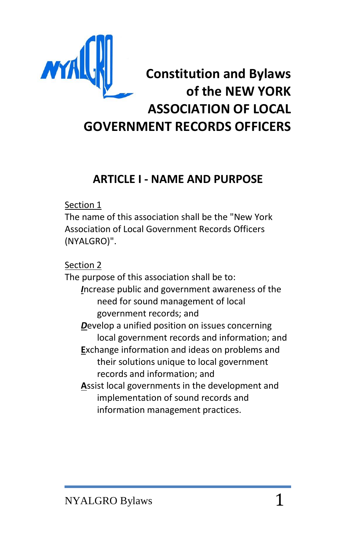

# **ARTICLE I - NAME AND PURPOSE**

Section 1

The name of this association shall be the "New York Association of Local Government Records Officers (NYALGRO)".

Section 2

The purpose of this association shall be to: *I*ncrease public and government awareness of the need for sound management of local government records; and *D*evelop a unified position on issues concerning local government records and information; and **E**xchange information and ideas on problems and their solutions unique to local government records and information; and **A**ssist local governments in the development and implementation of sound records and

information management practices.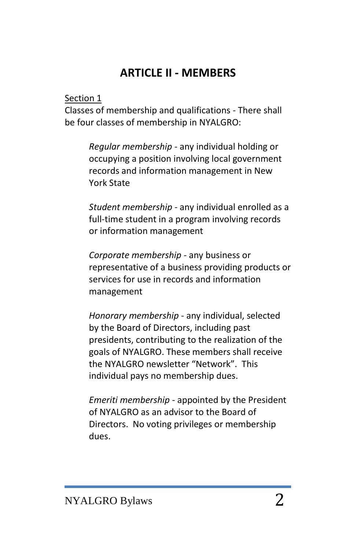# **ARTICLE II - MEMBERS**

#### Section 1

Classes of membership and qualifications - There shall be four classes of membership in NYALGRO:

> *Regular membership* - any individual holding or occupying a position involving local government records and information management in New York State

*Student membership* - any individual enrolled as a full-time student in a program involving records or information management

*Corporate membership* - any business or representative of a business providing products or services for use in records and information management

*Honorary membership* - any individual, selected by the Board of Directors, including past presidents, contributing to the realization of the goals of NYALGRO. These members shall receive the NYALGRO newsletter "Network". This individual pays no membership dues.

*Emeriti membership* - appointed by the President of NYALGRO as an advisor to the Board of Directors. No voting privileges or membership dues.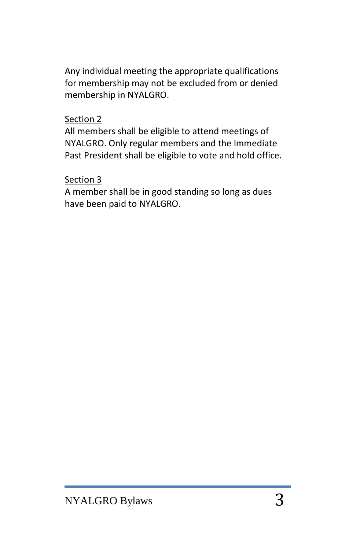Any individual meeting the appropriate qualifications for membership may not be excluded from or denied membership in NYALGRO.

#### Section 2

All members shall be eligible to attend meetings of NYALGRO. Only regular members and the Immediate Past President shall be eligible to vote and hold office.

### Section 3

A member shall be in good standing so long as dues have been paid to NYALGRO.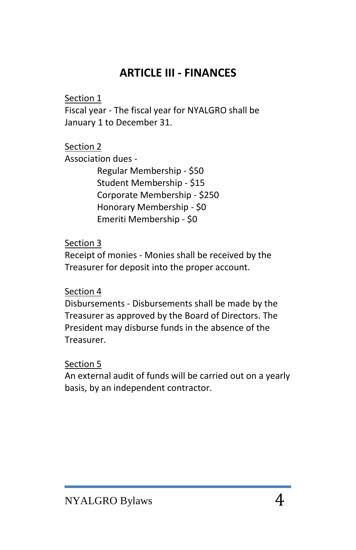# **ARTICLE III - FINANCES**

#### Section 1

Fiscal year - The fiscal year for NYALGRO shall be January 1 to December 31.

# Section 2

Association dues -

Regular Membership - \$50 Student Membership - \$15 Corporate Membership - \$250 Honorary Membership - \$0 Emeriti Membership - \$0

#### Section 3

Receipt of monies - Monies shall be received by the Treasurer for deposit into the proper account.

#### Section 4

Disbursements - Disbursements shall be made by the Treasurer as approved by the Board of Directors. The President may disburse funds in the absence of the Treasurer.

#### Section 5

An external audit of funds will be carried out on a yearly basis, by an independent contractor.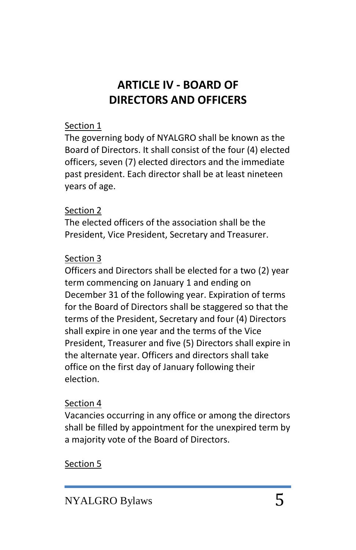# **ARTICLE IV - BOARD OF DIRECTORS AND OFFICERS**

### Section 1

The governing body of NYALGRO shall be known as the Board of Directors. It shall consist of the four (4) elected officers, seven (7) elected directors and the immediate past president. Each director shall be at least nineteen years of age.

### Section 2

The elected officers of the association shall be the President, Vice President, Secretary and Treasurer.

## Section 3

Officers and Directors shall be elected for a two (2) year term commencing on January 1 and ending on December 31 of the following year. Expiration of terms for the Board of Directors shall be staggered so that the terms of the President, Secretary and four (4) Directors shall expire in one year and the terms of the Vice President, Treasurer and five (5) Directors shall expire in the alternate year. Officers and directors shall take office on the first day of January following their election.

### Section 4

Vacancies occurring in any office or among the directors shall be filled by appointment for the unexpired term by a majority vote of the Board of Directors.

# Section 5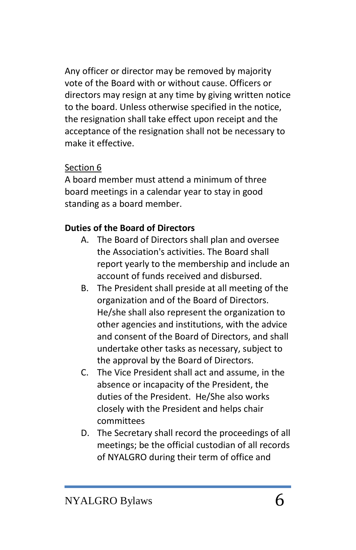Any officer or director may be removed by majority vote of the Board with or without cause. Officers or directors may resign at any time by giving written notice to the board. Unless otherwise specified in the notice, the resignation shall take effect upon receipt and the acceptance of the resignation shall not be necessary to make it effective.

## Section 6

A board member must attend a minimum of three board meetings in a calendar year to stay in good standing as a board member.

# **Duties of the Board of Directors**

- A. The Board of Directors shall plan and oversee the Association's activities. The Board shall report yearly to the membership and include an account of funds received and disbursed.
- B. The President shall preside at all meeting of the organization and of the Board of Directors. He/she shall also represent the organization to other agencies and institutions, with the advice and consent of the Board of Directors, and shall undertake other tasks as necessary, subject to the approval by the Board of Directors.
- C. The Vice President shall act and assume, in the absence or incapacity of the President, the duties of the President. He/She also works closely with the President and helps chair committees
- D. The Secretary shall record the proceedings of all meetings; be the official custodian of all records of NYALGRO during their term of office and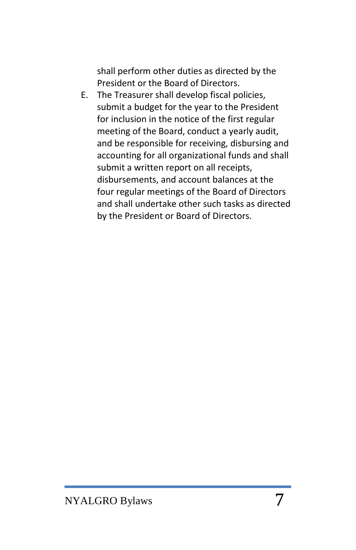shall perform other duties as directed by the President or the Board of Directors.

E. The Treasurer shall develop fiscal policies, submit a budget for the year to the President for inclusion in the notice of the first regular meeting of the Board, conduct a yearly audit, and be responsible for receiving, disbursing and accounting for all organizational funds and shall submit a written report on all receipts, disbursements, and account balances at the four regular meetings of the Board of Directors and shall undertake other such tasks as directed by the President or Board of Directors.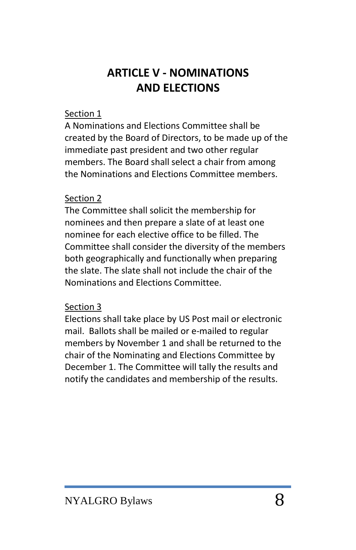# **ARTICLE V - NOMINATIONS AND ELECTIONS**

#### Section 1

A Nominations and Elections Committee shall be created by the Board of Directors, to be made up of the immediate past president and two other regular members. The Board shall select a chair from among the Nominations and Elections Committee members.

### Section 2

The Committee shall solicit the membership for nominees and then prepare a slate of at least one nominee for each elective office to be filled. The Committee shall consider the diversity of the members both geographically and functionally when preparing the slate. The slate shall not include the chair of the Nominations and Elections Committee.

### Section 3

Elections shall take place by US Post mail or electronic mail. Ballots shall be mailed or e-mailed to regular members by November 1 and shall be returned to the chair of the Nominating and Elections Committee by December 1. The Committee will tally the results and notify the candidates and membership of the results.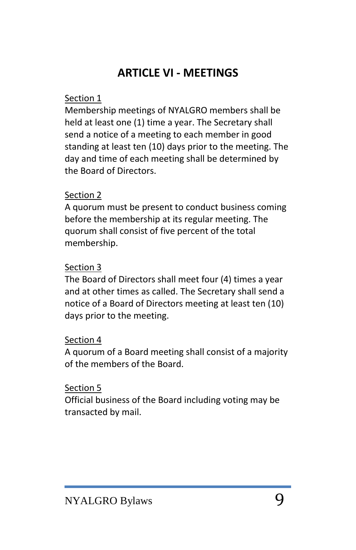# **ARTICLE VI - MEETINGS**

### Section 1

Membership meetings of NYALGRO members shall be held at least one (1) time a year. The Secretary shall send a notice of a meeting to each member in good standing at least ten (10) days prior to the meeting. The day and time of each meeting shall be determined by the Board of Directors.

### Section 2

A quorum must be present to conduct business coming before the membership at its regular meeting. The quorum shall consist of five percent of the total membership.

#### Section 3

The Board of Directors shall meet four (4) times a year and at other times as called. The Secretary shall send a notice of a Board of Directors meeting at least ten (10) days prior to the meeting.

#### Section 4

A quorum of a Board meeting shall consist of a majority of the members of the Board.

#### Section 5

Official business of the Board including voting may be transacted by mail.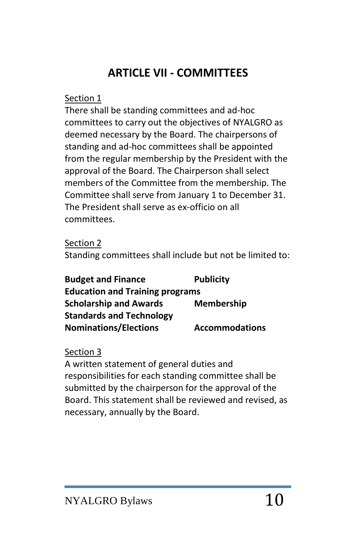# **ARTICLE VII - COMMITTEES**

#### Section 1

There shall be standing committees and ad-hoc committees to carry out the objectives of NYALGRO as deemed necessary by the Board. The chairpersons of standing and ad-hoc committees shall be appointed from the regular membership by the President with the approval of the Board. The Chairperson shall select members of the Committee from the membership. The Committee shall serve from January 1 to December 31. The President shall serve as ex-officio on all committees.

Section 2 Standing committees shall include but not be limited to:

| <b>Budget and Finance</b>              | <b>Publicity</b>      |
|----------------------------------------|-----------------------|
| <b>Education and Training programs</b> |                       |
| <b>Scholarship and Awards</b>          | <b>Membership</b>     |
| <b>Standards and Technology</b>        |                       |
| <b>Nominations/Elections</b>           | <b>Accommodations</b> |

# Section 3

A written statement of general duties and responsibilities for each standing committee shall be submitted by the chairperson for the approval of the Board. This statement shall be reviewed and revised, as necessary, annually by the Board.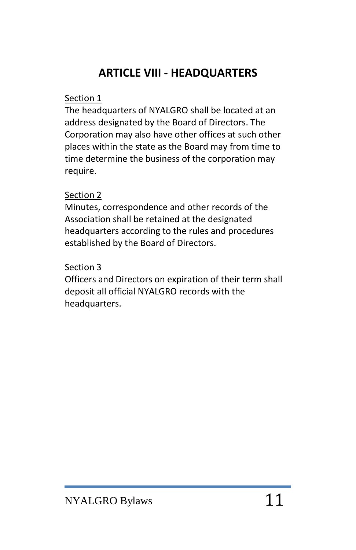# **ARTICLE VIII - HEADQUARTERS**

#### Section 1

The headquarters of NYALGRO shall be located at an address designated by the Board of Directors. The Corporation may also have other offices at such other places within the state as the Board may from time to time determine the business of the corporation may require.

### Section 2

Minutes, correspondence and other records of the Association shall be retained at the designated headquarters according to the rules and procedures established by the Board of Directors.

#### Section 3

Officers and Directors on expiration of their term shall deposit all official NYALGRO records with the headquarters.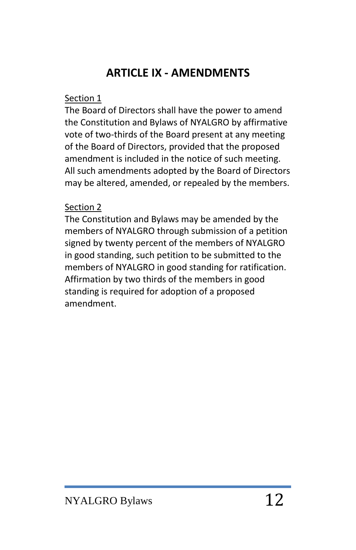# **ARTICLE IX - AMENDMENTS**

#### Section 1

The Board of Directors shall have the power to amend the Constitution and Bylaws of NYALGRO by affirmative vote of two-thirds of the Board present at any meeting of the Board of Directors, provided that the proposed amendment is included in the notice of such meeting. All such amendments adopted by the Board of Directors may be altered, amended, or repealed by the members.

## Section 2

The Constitution and Bylaws may be amended by the members of NYALGRO through submission of a petition signed by twenty percent of the members of NYALGRO in good standing, such petition to be submitted to the members of NYALGRO in good standing for ratification. Affirmation by two thirds of the members in good standing is required for adoption of a proposed amendment.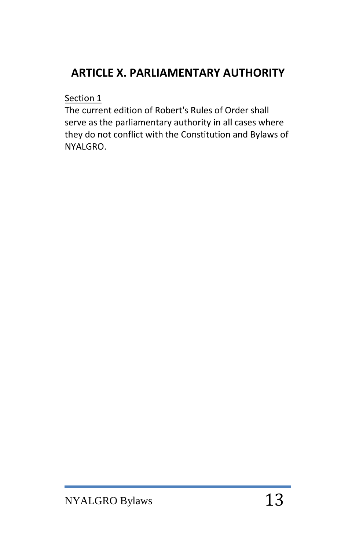# **ARTICLE X. PARLIAMENTARY AUTHORITY**

Section 1

The current edition of Robert's Rules of Order shall serve as the parliamentary authority in all cases where they do not conflict with the Constitution and Bylaws of NYALGRO.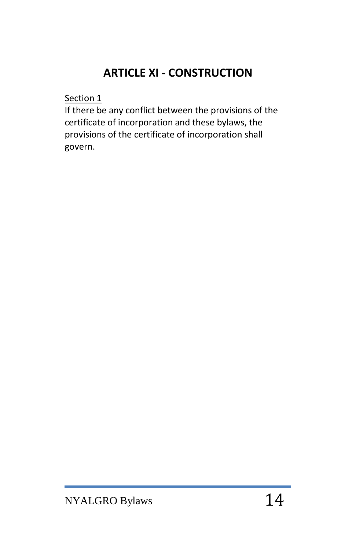# **ARTICLE XI - CONSTRUCTION**

Section 1

If there be any conflict between the provisions of the certificate of incorporation and these bylaws, the provisions of the certificate of incorporation shall govern.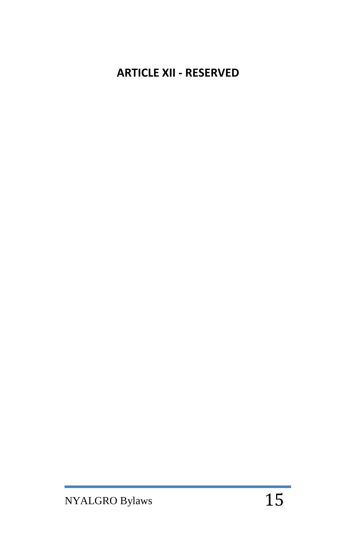# **ARTICLE XII - RESERVED**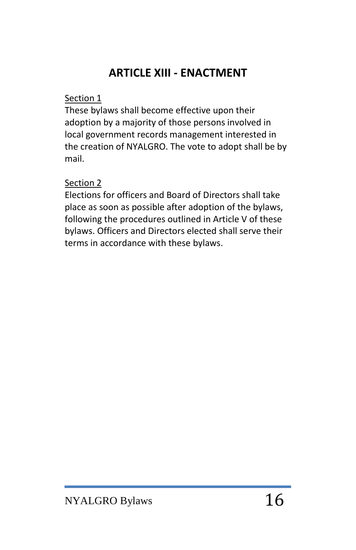# **ARTICLE XIII - ENACTMENT**

### Section 1

These bylaws shall become effective upon their adoption by a majority of those persons involved in local government records management interested in the creation of NYALGRO. The vote to adopt shall be by mail.

## Section 2

Elections for officers and Board of Directors shall take place as soon as possible after adoption of the bylaws, following the procedures outlined in Article V of these bylaws. Officers and Directors elected shall serve their terms in accordance with these bylaws.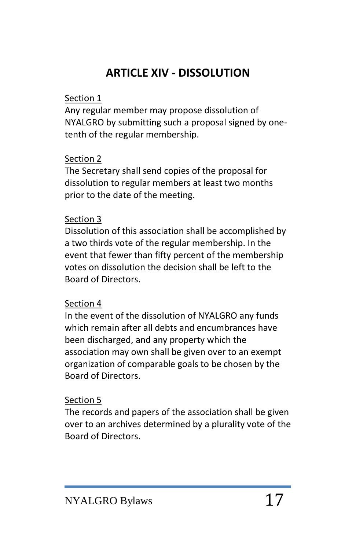# **ARTICLE XIV - DISSOLUTION**

#### Section 1

Any regular member may propose dissolution of NYALGRO by submitting such a proposal signed by onetenth of the regular membership.

### Section 2

The Secretary shall send copies of the proposal for dissolution to regular members at least two months prior to the date of the meeting.

#### Section 3

Dissolution of this association shall be accomplished by a two thirds vote of the regular membership. In the event that fewer than fifty percent of the membership votes on dissolution the decision shall be left to the Board of Directors.

### Section 4

In the event of the dissolution of NYALGRO any funds which remain after all debts and encumbrances have been discharged, and any property which the association may own shall be given over to an exempt organization of comparable goals to be chosen by the Board of Directors.

### Section 5

The records and papers of the association shall be given over to an archives determined by a plurality vote of the Board of Directors.